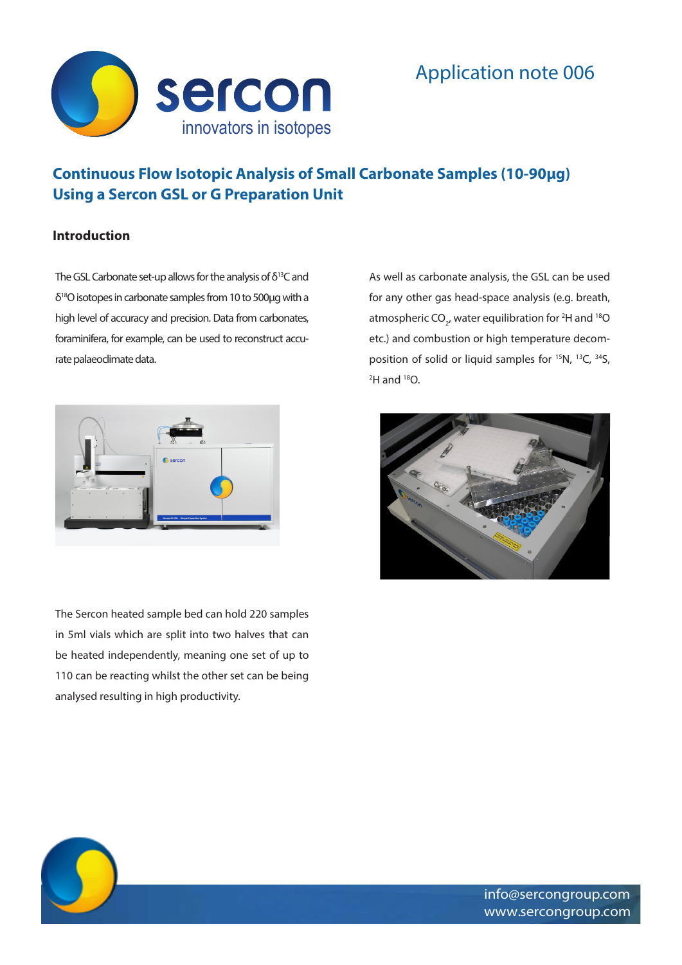

# **Continuous Flow Isotopic Analysis of Small Carbonate Samples (10-90µg) Using a Sercon GSL or G Preparation Unit**

## **Introduction**

The GSL Carbonate set-up allows for the analysis of δ13C and δ18O isotopes in carbonate samples from 10 to 500µg with a high level of accuracy and precision. Data from carbonates, foraminifera, for example, can be used to reconstruct accurate palaeoclimate data.



The Sercon heated sample bed can hold 220 samples in 5ml vials which are split into two halves that can be heated independently, meaning one set of up to 110 can be reacting whilst the other set can be being analysed resulting in high productivity.

As well as carbonate analysis, the GSL can be used for any other gas head-space analysis (e.g. breath, atmospheric CO<sub>2</sub>, water equilibration for <sup>2</sup>H and <sup>18</sup>O etc.) and combustion or high temperature decomposition of solid or liquid samples for 15N, 13C, 34S,  $^2$ H and  $^{18}$ O.

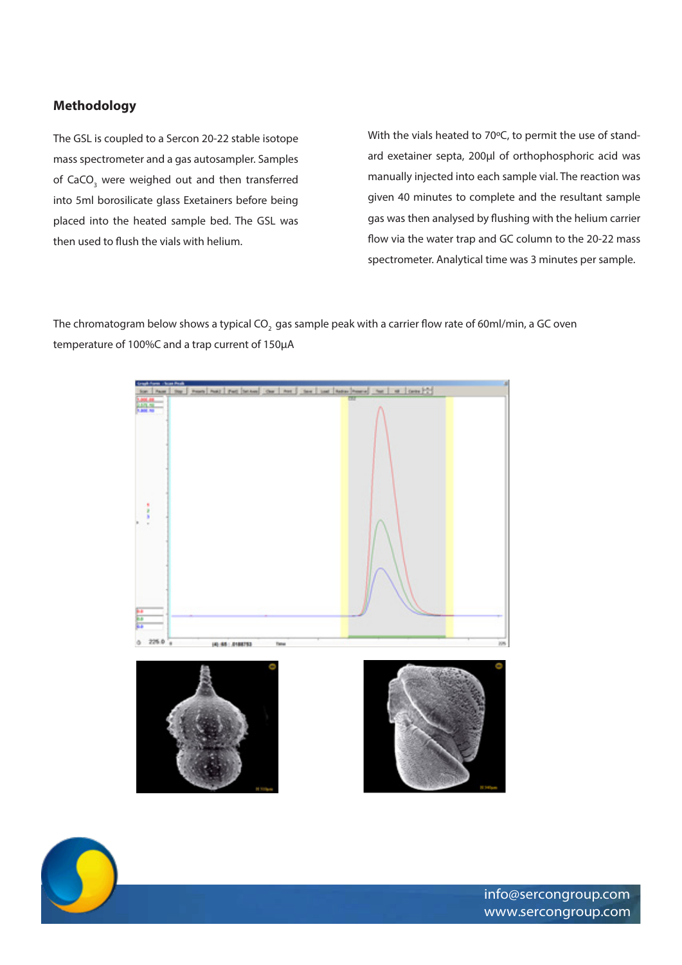# **Methodology**

The GSL is coupled to a Sercon 20-22 stable isotope mass spectrometer and a gas autosampler. Samples of CaCO<sub>3</sub> were weighed out and then transferred into 5ml borosilicate glass Exetainers before being placed into the heated sample bed. The GSL was then used to flush the vials with helium.

With the vials heated to 70°C, to permit the use of standard exetainer septa, 200µl of orthophosphoric acid was manually injected into each sample vial. The reaction was given 40 minutes to complete and the resultant sample gas was then analysed by flushing with the helium carrier flow via the water trap and GC column to the 20-22 mass spectrometer. Analytical time was 3 minutes per sample.

The chromatogram below shows a typical CO<sub>2</sub> gas sample peak with a carrier flow rate of 60ml/min, a GC oven temperature of 100%C and a trap current of 150µA



info@sercongroup.com www.sercongroup.com